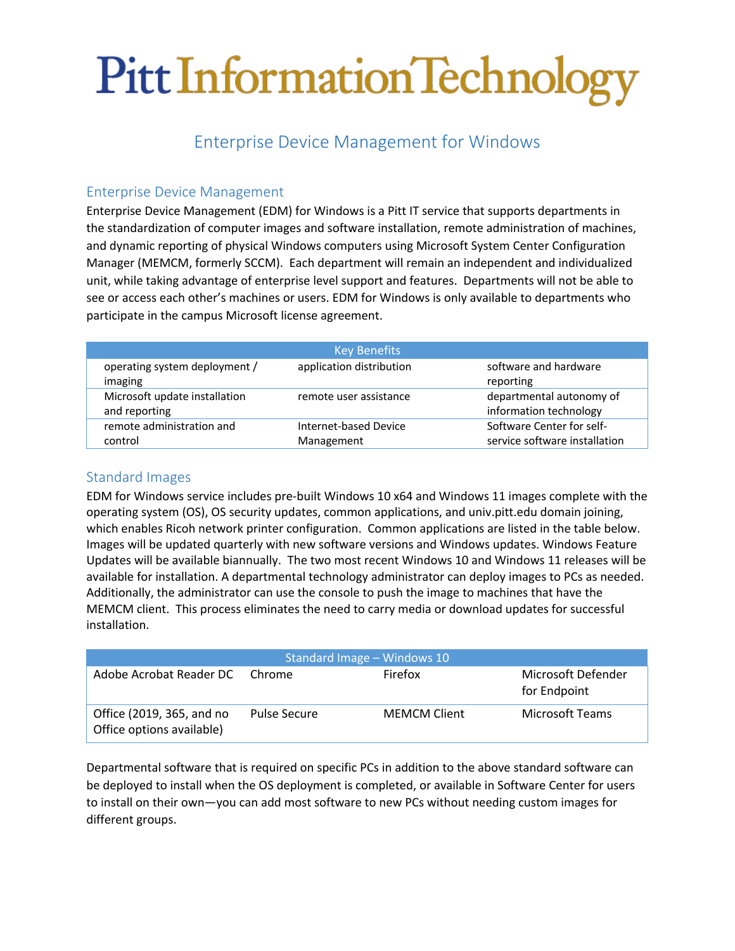# Pitt Information Technology

# Enterprise Device Management for Windows

### Enterprise Device Management

Enterprise Device Management (EDM) for Windows is a Pitt IT service that supports departments in the standardization of computer images and software installation, remote administration of machines, and dynamic reporting of physical Windows computers using Microsoft System Center Configuration Manager (MEMCM, formerly SCCM). Each department will remain an independent and individualized unit, while taking advantage of enterprise level support and features. Departments will not be able to see or access each other's machines or users. EDM for Windows is only available to departments who participate in the campus Microsoft license agreement.

| <b>Key Benefits</b>           |                          |                               |  |  |
|-------------------------------|--------------------------|-------------------------------|--|--|
| operating system deployment / | application distribution | software and hardware         |  |  |
| imaging                       |                          | reporting                     |  |  |
| Microsoft update installation | remote user assistance   | departmental autonomy of      |  |  |
| and reporting                 |                          | information technology        |  |  |
| remote administration and     | Internet-based Device    | Software Center for self-     |  |  |
| control                       | Management               | service software installation |  |  |

#### Standard Images

EDM for Windows service includes pre-built Windows 10 x64 and Windows 11 images complete with the operating system (OS), OS security updates, common applications, and univ.pitt.edu domain joining, which enables Ricoh network printer configuration. Common applications are listed in the table below. Images will be updated quarterly with new software versions and Windows updates. Windows Feature Updates will be available biannually. The two most recent Windows 10 and Windows 11 releases will be available for installation. A departmental technology administrator can deploy images to PCs as needed. Additionally, the administrator can use the console to push the image to machines that have the MEMCM client. This process eliminates the need to carry media or download updates for successful installation.

| Standard Image - Windows 10                            |                     |                     |                                    |  |  |
|--------------------------------------------------------|---------------------|---------------------|------------------------------------|--|--|
| Adobe Acrobat Reader DC Chrome                         |                     | Firefox             | Microsoft Defender<br>for Endpoint |  |  |
| Office (2019, 365, and no<br>Office options available) | <b>Pulse Secure</b> | <b>MEMCM Client</b> | Microsoft Teams                    |  |  |

Departmental software that is required on specific PCs in addition to the above standard software can be deployed to install when the OS deployment is completed, or available in Software Center for users to install on their own—you can add most software to new PCs without needing custom images for different groups.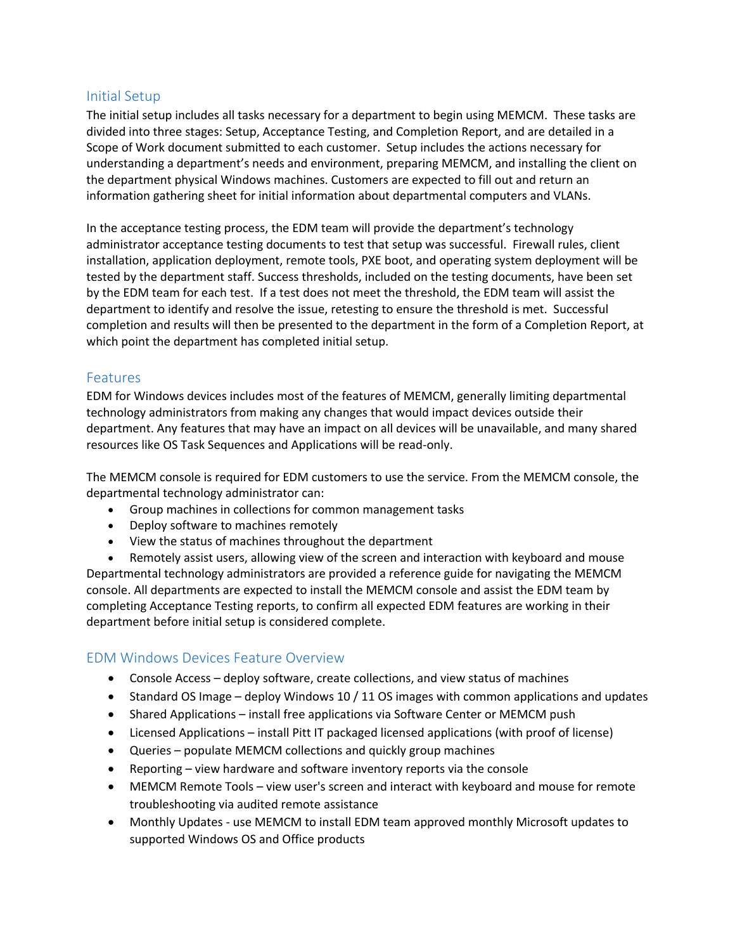#### Initial Setup

The initial setup includes all tasks necessary for a department to begin using MEMCM. These tasks are divided into three stages: Setup, Acceptance Testing, and Completion Report, and are detailed in a Scope of Work document submitted to each customer. Setup includes the actions necessary for understanding a department's needs and environment, preparing MEMCM, and installing the client on the department physical Windows machines. Customers are expected to fill out and return an information gathering sheet for initial information about departmental computers and VLANs.

In the acceptance testing process, the EDM team will provide the department's technology administrator acceptance testing documents to test that setup was successful. Firewall rules, client installation, application deployment, remote tools, PXE boot, and operating system deployment will be tested by the department staff. Success thresholds, included on the testing documents, have been set by the EDM team for each test. If a test does not meet the threshold, the EDM team will assist the department to identify and resolve the issue, retesting to ensure the threshold is met. Successful completion and results will then be presented to the department in the form of a Completion Report, at which point the department has completed initial setup.

#### Features

EDM for Windows devices includes most of the features of MEMCM, generally limiting departmental technology administrators from making any changes that would impact devices outside their department. Any features that may have an impact on all devices will be unavailable, and many shared resources like OS Task Sequences and Applications will be read-only.

The MEMCM console is required for EDM customers to use the service. From the MEMCM console, the departmental technology administrator can:

- Group machines in collections for common management tasks
- Deploy software to machines remotely
- View the status of machines throughout the department

• Remotely assist users, allowing view of the screen and interaction with keyboard and mouse Departmental technology administrators are provided a reference guide for navigating the MEMCM console. All departments are expected to install the MEMCM console and assist the EDM team by completing Acceptance Testing reports, to confirm all expected EDM features are working in their department before initial setup is considered complete.

#### EDM Windows Devices Feature Overview

- Console Access deploy software, create collections, and view status of machines
- Standard OS Image deploy Windows 10 / 11 OS images with common applications and updates
- Shared Applications install free applications via Software Center or MEMCM push
- Licensed Applications install Pitt IT packaged licensed applications (with proof of license)
- Queries populate MEMCM collections and quickly group machines
- Reporting view hardware and software inventory reports via the console
- MEMCM Remote Tools view user's screen and interact with keyboard and mouse for remote troubleshooting via audited remote assistance
- Monthly Updates use MEMCM to install EDM team approved monthly Microsoft updates to supported Windows OS and Office products